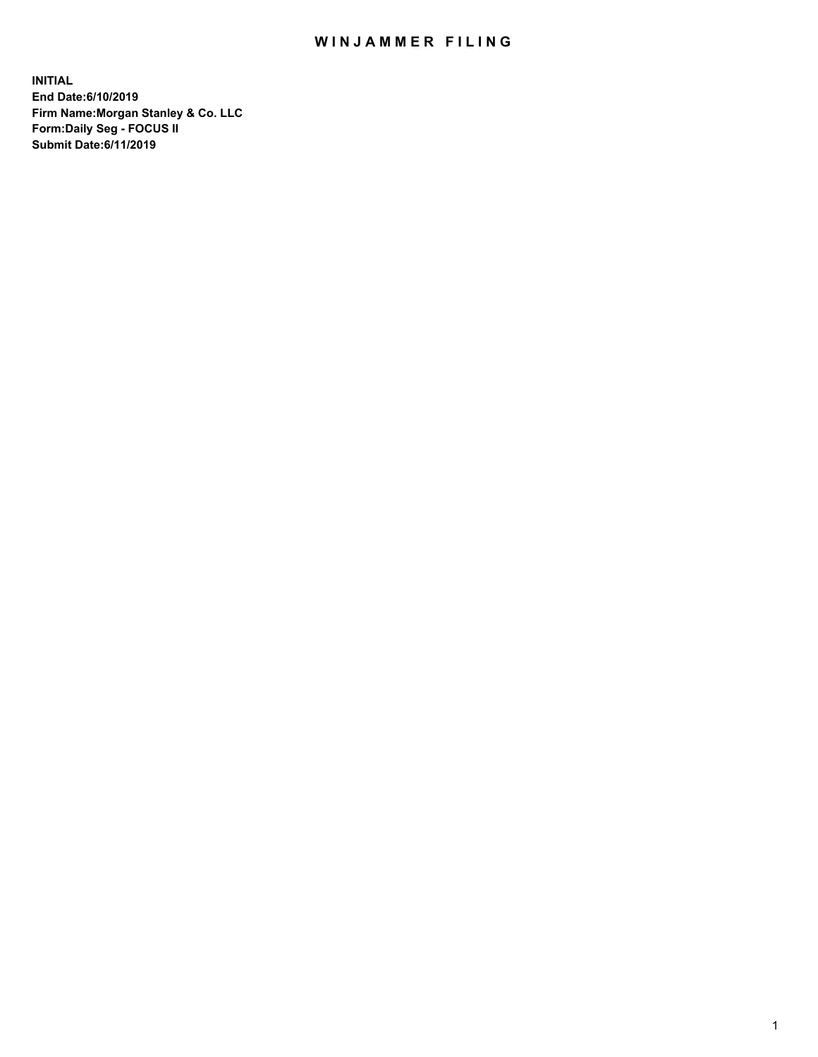## WIN JAMMER FILING

**INITIAL End Date:6/10/2019 Firm Name:Morgan Stanley & Co. LLC Form:Daily Seg - FOCUS II Submit Date:6/11/2019**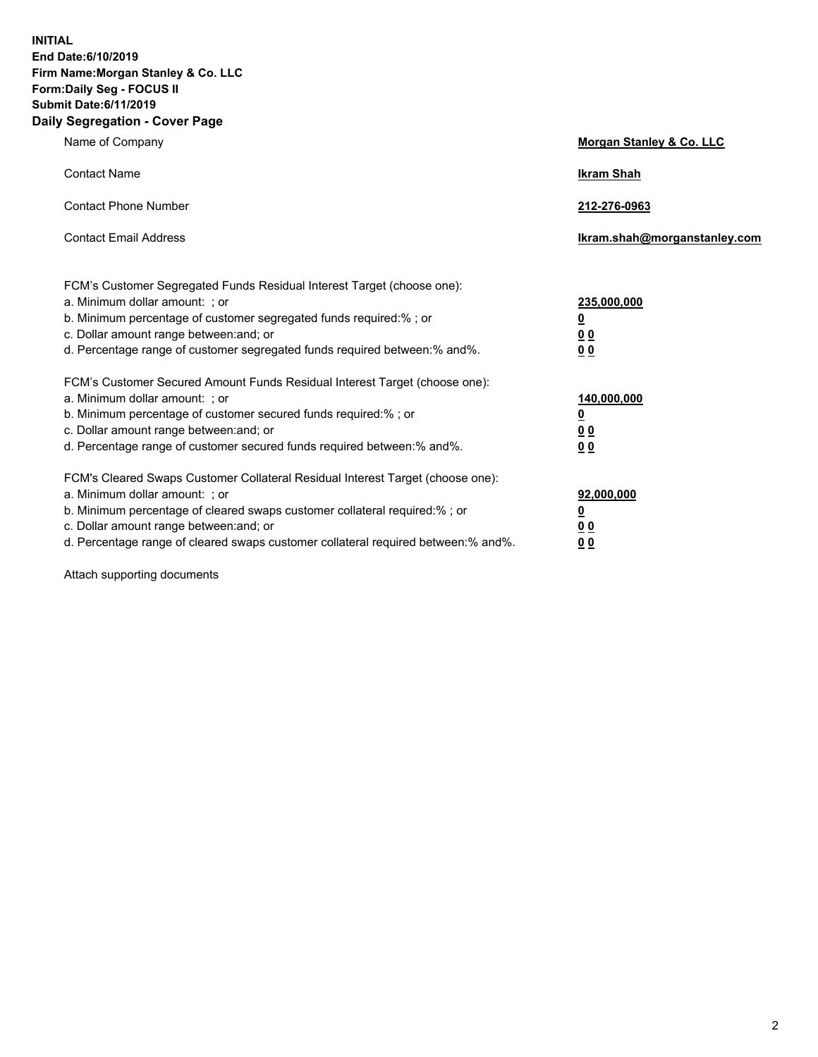**INITIAL End Date:6/10/2019 Firm Name:Morgan Stanley & Co. LLC Form:Daily Seg - FOCUS II Submit Date:6/11/2019 Daily Segregation - Cover Page**

| Name of Company                                                                                                                                                                                                                                                                                                               | Morgan Stanley & Co. LLC                                    |
|-------------------------------------------------------------------------------------------------------------------------------------------------------------------------------------------------------------------------------------------------------------------------------------------------------------------------------|-------------------------------------------------------------|
| <b>Contact Name</b>                                                                                                                                                                                                                                                                                                           | <b>Ikram Shah</b>                                           |
| <b>Contact Phone Number</b>                                                                                                                                                                                                                                                                                                   | 212-276-0963                                                |
| <b>Contact Email Address</b>                                                                                                                                                                                                                                                                                                  | Ikram.shah@morganstanley.com                                |
| FCM's Customer Segregated Funds Residual Interest Target (choose one):<br>a. Minimum dollar amount: ; or<br>b. Minimum percentage of customer segregated funds required:% ; or<br>c. Dollar amount range between: and; or<br>d. Percentage range of customer segregated funds required between:% and%.                        | 235,000,000<br><u>0</u><br><u>00</u><br>0 <sup>0</sup>      |
| FCM's Customer Secured Amount Funds Residual Interest Target (choose one):<br>a. Minimum dollar amount: ; or<br>b. Minimum percentage of customer secured funds required:%; or<br>c. Dollar amount range between: and; or<br>d. Percentage range of customer secured funds required between:% and%.                           | 140,000,000<br><u>0</u><br>0 <sub>0</sub><br>0 <sub>0</sub> |
| FCM's Cleared Swaps Customer Collateral Residual Interest Target (choose one):<br>a. Minimum dollar amount: ; or<br>b. Minimum percentage of cleared swaps customer collateral required:%; or<br>c. Dollar amount range between: and; or<br>d. Percentage range of cleared swaps customer collateral required between:% and%. | 92,000,000<br><u>0</u><br>0 Q<br>00                         |

Attach supporting documents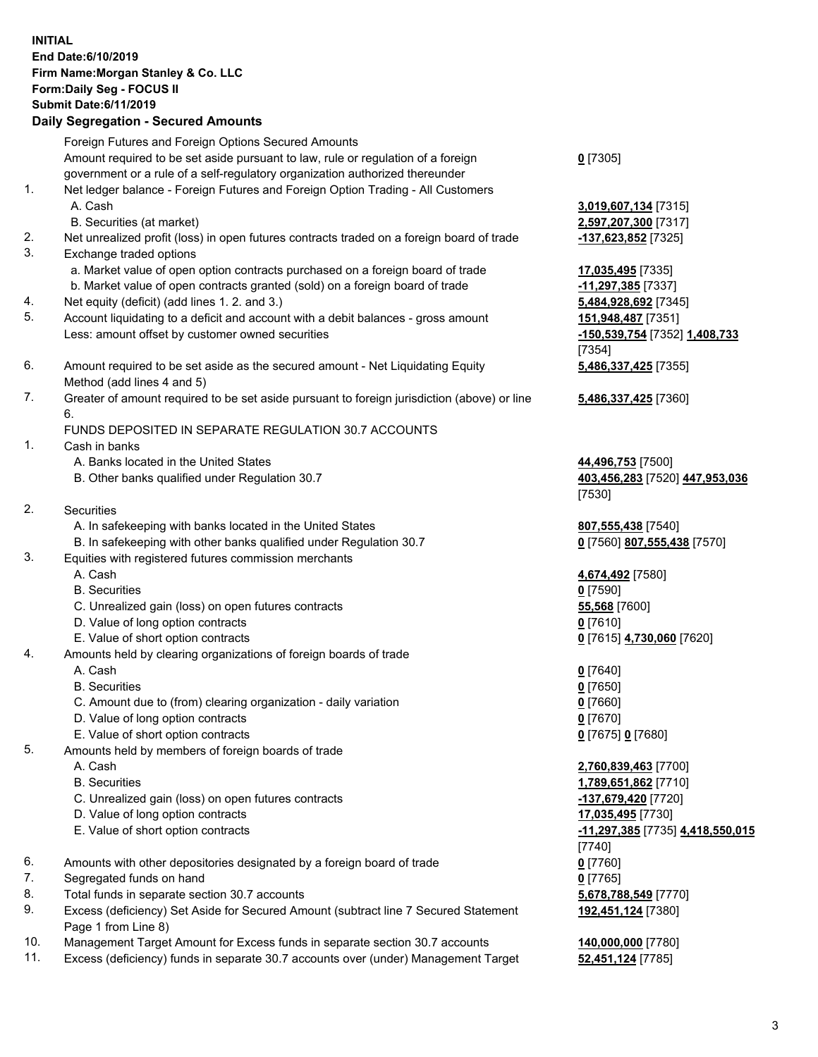## **INITIAL End Date:6/10/2019 Firm Name:Morgan Stanley & Co. LLC Form:Daily Seg - FOCUS II Submit Date:6/11/2019 Daily Segregation - Secured Amounts** Foreign Futures and Foreign Options Secured Amounts Amount required to be set aside pursuant to law, rule or regulation of a foreign government or a rule of a self-regulatory organization authorized thereunder 1. Net ledger balance - Foreign Futures and Foreign Option Trading - All Customers A. Cash **3,019,607,134** [7315] B. Securities (at market) **2,597,207,300** [7317] 2. Net unrealized profit (loss) in open futures contracts traded on a foreign board of trade **-137,623,852** [7325] 3. Exchange traded options a. Market value of open option contracts purchased on a foreign board of trade **17,035,495** [7335] b. Market value of open contracts granted (sold) on a foreign board of trade **-11,297,385** [7337] 4. Net equity (deficit) (add lines 1. 2. and 3.) **5,484,928,692** [7345] 5. Account liquidating to a deficit and account with a debit balances - gross amount **151,948,487** [7351] Less: amount offset by customer owned securities **-150,539,754** [7352] **1,408,733** 6. Amount required to be set aside as the secured amount - Net Liquidating Equity Method (add lines 4 and 5) 7. Greater of amount required to be set aside pursuant to foreign jurisdiction (above) or line 6. FUNDS DEPOSITED IN SEPARATE REGULATION 30.7 ACCOUNTS 1. Cash in banks A. Banks located in the United States **44,496,753** [7500] B. Other banks qualified under Regulation 30.7 **403,456,283** [7520] **447,953,036** 2. Securities A. In safekeeping with banks located in the United States **807,555,438** [7540] B. In safekeeping with other banks qualified under Regulation 30.7 **0** [7560] **807,555,438** [7570] 3. Equities with registered futures commission merchants A. Cash **4,674,492** [7580] B. Securities **0** [7590] C. Unrealized gain (loss) on open futures contracts **55,568** [7600] D. Value of long option contracts **0** [7610] E. Value of short option contracts **0** [7615] **4,730,060** [7620] 4. Amounts held by clearing organizations of foreign boards of trade A. Cash **0** [7640] B. Securities **0** [7650] C. Amount due to (from) clearing organization - daily variation **0** [7660] D. Value of long option contracts **0** [7670] E. Value of short option contracts **0** [7675] **0** [7680] 5. Amounts held by members of foreign boards of trade A. Cash **2,760,839,463** [7700] B. Securities **1,789,651,862** [7710] C. Unrealized gain (loss) on open futures contracts **-137,679,420** [7720] D. Value of long option contracts **17,035,495** [7730]

- E. Value of short option contracts **-11,297,385** [7735] **4,418,550,015**
- 6. Amounts with other depositories designated by a foreign board of trade **0** [7760]
- 7. Segregated funds on hand **0** [7765]
- 8. Total funds in separate section 30.7 accounts **5,678,788,549** [7770]
- 9. Excess (deficiency) Set Aside for Secured Amount (subtract line 7 Secured Statement Page 1 from Line 8)
- 10. Management Target Amount for Excess funds in separate section 30.7 accounts **140,000,000** [7780]
- 11. Excess (deficiency) funds in separate 30.7 accounts over (under) Management Target **52,451,124** [7785]

**0** [7305]

[7354] **5,486,337,425** [7355]

**5,486,337,425** [7360]

[7530]

[7740] **192,451,124** [7380]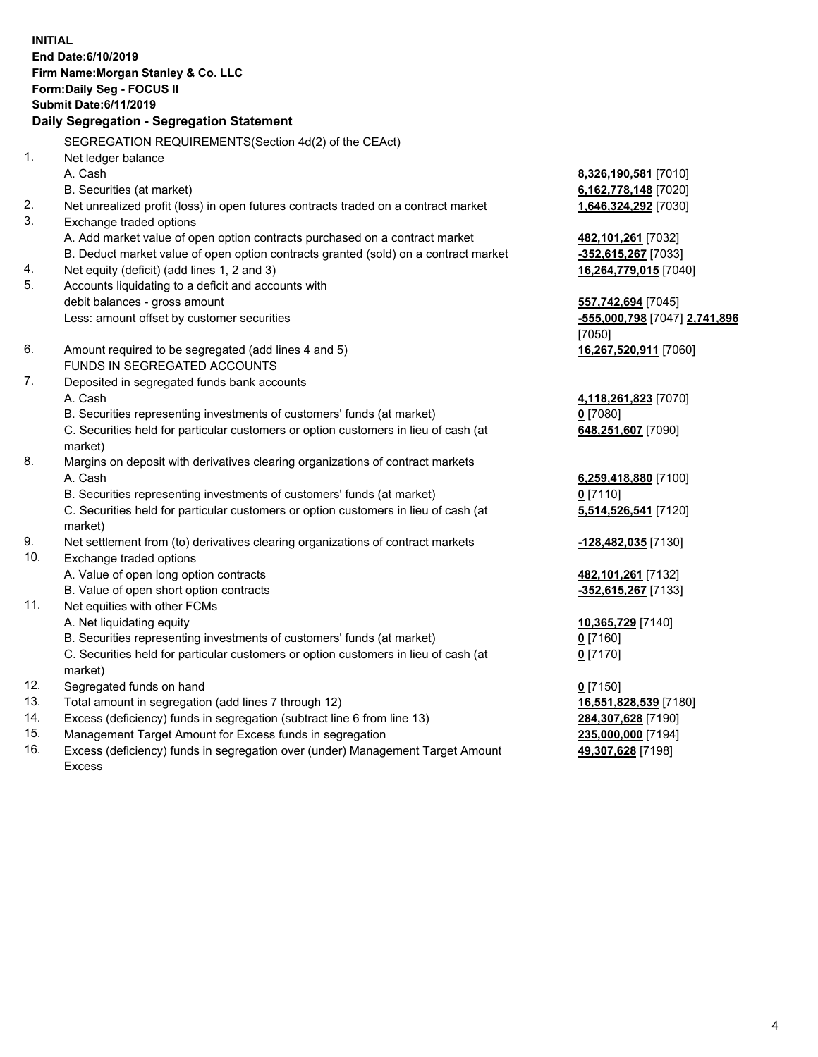**INITIAL End Date:6/10/2019 Firm Name:Morgan Stanley & Co. LLC Form:Daily Seg - FOCUS II Submit Date:6/11/2019 Daily Segregation - Segregation Statement** SEGREGATION REQUIREMENTS(Section 4d(2) of the CEAct) 1. Net ledger balance A. Cash **8,326,190,581** [7010] B. Securities (at market) **6,162,778,148** [7020] 2. Net unrealized profit (loss) in open futures contracts traded on a contract market **1,646,324,292** [7030] 3. Exchange traded options A. Add market value of open option contracts purchased on a contract market **482,101,261** [7032] B. Deduct market value of open option contracts granted (sold) on a contract market **-352,615,267** [7033] 4. Net equity (deficit) (add lines 1, 2 and 3) **16,264,779,015** [7040] 5. Accounts liquidating to a deficit and accounts with debit balances - gross amount **557,742,694** [7045] Less: amount offset by customer securities **-555,000,798** [7047] **2,741,896** [7050] 6. Amount required to be segregated (add lines 4 and 5) **16,267,520,911** [7060] FUNDS IN SEGREGATED ACCOUNTS 7. Deposited in segregated funds bank accounts A. Cash **4,118,261,823** [7070] B. Securities representing investments of customers' funds (at market) **0** [7080] C. Securities held for particular customers or option customers in lieu of cash (at market) **648,251,607** [7090] 8. Margins on deposit with derivatives clearing organizations of contract markets A. Cash **6,259,418,880** [7100] B. Securities representing investments of customers' funds (at market) **0** [7110] C. Securities held for particular customers or option customers in lieu of cash (at market) **5,514,526,541** [7120] 9. Net settlement from (to) derivatives clearing organizations of contract markets **-128,482,035** [7130] 10. Exchange traded options A. Value of open long option contracts **482,101,261** [7132] B. Value of open short option contracts **-352,615,267** [7133] 11. Net equities with other FCMs A. Net liquidating equity **10,365,729** [7140] B. Securities representing investments of customers' funds (at market) **0** [7160] C. Securities held for particular customers or option customers in lieu of cash (at market) **0** [7170] 12. Segregated funds on hand **0** [7150] 13. Total amount in segregation (add lines 7 through 12) **16,551,828,539** [7180] 14. Excess (deficiency) funds in segregation (subtract line 6 from line 13) **284,307,628** [7190] 15. Management Target Amount for Excess funds in segregation **235,000,000** [7194]

- 16. Excess (deficiency) funds in segregation over (under) Management Target Amount
	- Excess

**49,307,628** [7198]